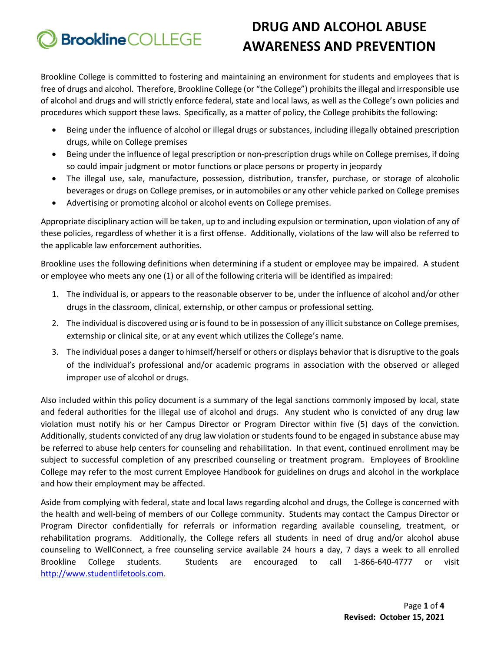# **DRUG AND ALCOHOL ABUSE Brookline** COLLEGE **AWARENESS AND PREVENTION**

Brookline College is committed to fostering and maintaining an environment for students and employees that is free of drugs and alcohol. Therefore, Brookline College (or "the College") prohibits the illegal and irresponsible use of alcohol and drugs and will strictly enforce federal, state and local laws, as well as the College's own policies and procedures which support these laws. Specifically, as a matter of policy, the College prohibits the following:

- Being under the influence of alcohol or illegal drugs or substances, including illegally obtained prescription drugs, while on College premises
- Being under the influence of legal prescription or non-prescription drugs while on College premises, if doing so could impair judgment or motor functions or place persons or property in jeopardy
- The illegal use, sale, manufacture, possession, distribution, transfer, purchase, or storage of alcoholic beverages or drugs on College premises, or in automobiles or any other vehicle parked on College premises
- Advertising or promoting alcohol or alcohol events on College premises.

Appropriate disciplinary action will be taken, up to and including expulsion or termination, upon violation of any of these policies, regardless of whether it is a first offense. Additionally, violations of the law will also be referred to the applicable law enforcement authorities.

Brookline uses the following definitions when determining if a student or employee may be impaired. A student or employee who meets any one (1) or all of the following criteria will be identified as impaired:

- 1. The individual is, or appears to the reasonable observer to be, under the influence of alcohol and/or other drugs in the classroom, clinical, externship, or other campus or professional setting.
- 2. The individual is discovered using or is found to be in possession of any illicit substance on College premises, externship or clinical site, or at any event which utilizes the College's name.
- 3. The individual poses a danger to himself/herself or others or displays behavior that is disruptive to the goals of the individual's professional and/or academic programs in association with the observed or alleged improper use of alcohol or drugs.

Also included within this policy document is a summary of the legal sanctions commonly imposed by local, state and federal authorities for the illegal use of alcohol and drugs. Any student who is convicted of any drug law violation must notify his or her Campus Director or Program Director within five (5) days of the conviction. Additionally, students convicted of any drug law violation or students found to be engaged in substance abuse may be referred to abuse help centers for counseling and rehabilitation. In that event, continued enrollment may be subject to successful completion of any prescribed counseling or treatment program. Employees of Brookline College may refer to the most current Employee Handbook for guidelines on drugs and alcohol in the workplace and how their employment may be affected.

Aside from complying with federal, state and local laws regarding alcohol and drugs, the College is concerned with the health and well-being of members of our College community. Students may contact the Campus Director or Program Director confidentially for referrals or information regarding available counseling, treatment, or rehabilitation programs. Additionally, the College refers all students in need of drug and/or alcohol abuse counseling to WellConnect, a free counseling service available 24 hours a day, 7 days a week to all enrolled Brookline College students. Students are encouraged to call 1-866-640-4777 or visit [http://www.studentlifetools.com.](http://www.studentlifetools.com/)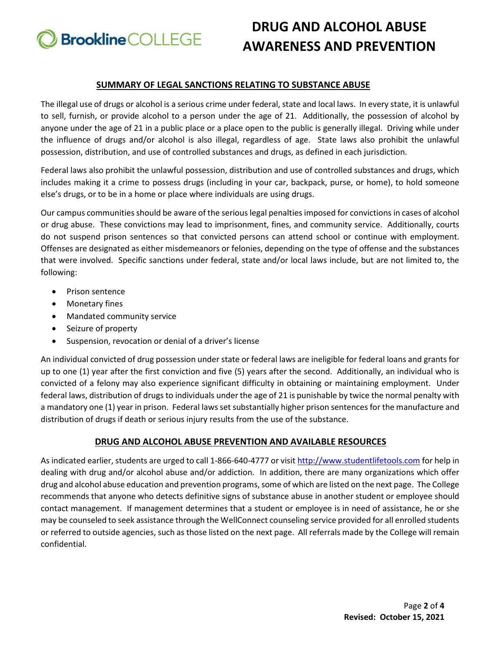**Brookline** COLLEGE

# **DRUG AND ALCOHOL ABUSE AWARENESS AND PREVENTION**

## **SUMMARY OF LEGAL SANCTIONS RELATING TO SUBSTANCE ABUSE**

The illegal use of drugs or alcohol is a serious crime under federal, state and local laws. In every state, it is unlawful to sell, furnish, or provide alcohol to a person under the age of 21. Additionally, the possession of alcohol by anyone under the age of 21 in a public place or a place open to the public is generally illegal. Driving while under the influence of drugs and/or alcohol is also illegal, regardless of age. State laws also prohibit the unlawful possession, distribution, and use of controlled substances and drugs, as defined in each jurisdiction.

Federal laws also prohibit the unlawful possession, distribution and use of controlled substances and drugs, which includes making it a crime to possess drugs (including in your car, backpack, purse, or home), to hold someone else's drugs, or to be in a home or place where individuals are using drugs.

Our campus communities should be aware of the serious legal penalties imposed for convictions in cases of alcohol or drug abuse. These convictions may lead to imprisonment, fines, and community service. Additionally, courts do not suspend prison sentences so that convicted persons can attend school or continue with employment. Offenses are designated as either misdemeanors or felonies, depending on the type of offense and the substances that were involved. Specific sanctions under federal, state and/or local laws include, but are not limited to, the following:

- Prison sentence
- Monetary fines
- Mandated community service
- Seizure of property
- Suspension, revocation or denial of a driver's license

An individual convicted of drug possession under state or federal laws are ineligible for federal loans and grants for up to one (1) year after the first conviction and five (5) years after the second. Additionally, an individual who is convicted of a felony may also experience significant difficulty in obtaining or maintaining employment. Under federal laws, distribution of drugs to individuals under the age of 21 is punishable by twice the normal penalty with a mandatory one (1) year in prison. Federal laws set substantially higher prison sentences for the manufacture and distribution of drugs if death or serious injury results from the use of the substance.

## **DRUG AND ALCOHOL ABUSE PREVENTION AND AVAILABLE RESOURCES**

As indicated earlier, students are urged to call 1-866-640-4777 or visi[t http://www.studentlifetools.com](http://www.studentlifetools.com/) for help in dealing with drug and/or alcohol abuse and/or addiction. In addition, there are many organizations which offer drug and alcohol abuse education and prevention programs, some of which are listed on the next page. The College recommends that anyone who detects definitive signs of substance abuse in another student or employee should contact management. If management determines that a student or employee is in need of assistance, he or she may be counseled to seek assistance through the WellConnect counseling service provided for all enrolled students or referred to outside agencies, such as those listed on the next page. All referrals made by the College will remain confidential.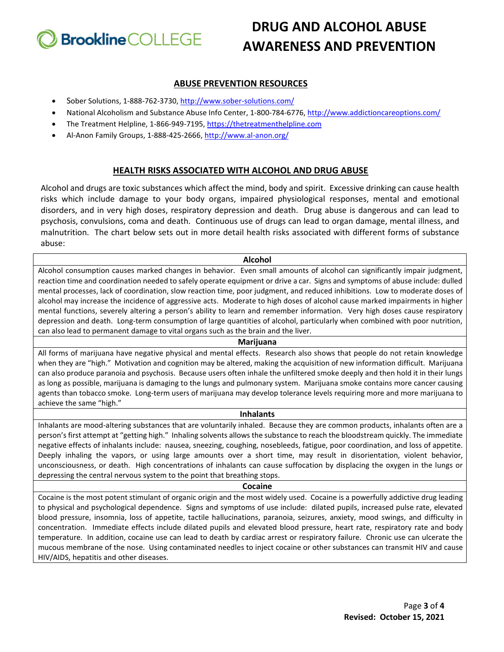

# **DRUG AND ALCOHOL ABUSE AWARENESS AND PREVENTION**

## **ABUSE PREVENTION RESOURCES**

- Sober Solutions, 1-888-762-3730,<http://www.sober-solutions.com/>
- National Alcoholism and Substance Abuse Info Center, 1-800-784-6776[, http://www.addictioncareoptions.com/](http://www.addictioncareoptions.com/)
- The Treatment Helpline, 1-866-949-7195[, https://thetreatmenthelpline.com](https://thetreatmenthelpline.com/)
- Al-Anon Family Groups, 1-888-425-2666[, http://www.al-anon.org/](http://www.al-anon.org/)

## **HEALTH RISKS ASSOCIATED WITH ALCOHOL AND DRUG ABUSE**

Alcohol and drugs are toxic substances which affect the mind, body and spirit. Excessive drinking can cause health risks which include damage to your body organs, impaired physiological responses, mental and emotional disorders, and in very high doses, respiratory depression and death. Drug abuse is dangerous and can lead to psychosis, convulsions, coma and death. Continuous use of drugs can lead to organ damage, mental illness, and malnutrition. The chart below sets out in more detail health risks associated with different forms of substance abuse:

## **Alcohol**

Alcohol consumption causes marked changes in behavior. Even small amounts of alcohol can significantly impair judgment, reaction time and coordination needed to safely operate equipment or drive a car. Signs and symptoms of abuse include: dulled mental processes, lack of coordination, slow reaction time, poor judgment, and reduced inhibitions. Low to moderate doses of alcohol may increase the incidence of aggressive acts. Moderate to high doses of alcohol cause marked impairments in higher mental functions, severely altering a person's ability to learn and remember information. Very high doses cause respiratory depression and death. Long-term consumption of large quantities of alcohol, particularly when combined with poor nutrition, can also lead to permanent damage to vital organs such as the brain and the liver.

## **Marijuana**

All forms of marijuana have negative physical and mental effects. Research also shows that people do not retain knowledge when they are "high." Motivation and cognition may be altered, making the acquisition of new information difficult. Marijuana can also produce paranoia and psychosis. Because users often inhale the unfiltered smoke deeply and then hold it in their lungs as long as possible, marijuana is damaging to the lungs and pulmonary system. Marijuana smoke contains more cancer causing agents than tobacco smoke. Long-term users of marijuana may develop tolerance levels requiring more and more marijuana to achieve the same "high."

## **Inhalants**

Inhalants are mood-altering substances that are voluntarily inhaled. Because they are common products, inhalants often are a person's first attempt at "getting high." Inhaling solvents allows the substance to reach the bloodstream quickly. The immediate negative effects of inhalants include: nausea, sneezing, coughing, nosebleeds, fatigue, poor coordination, and loss of appetite. Deeply inhaling the vapors, or using large amounts over a short time, may result in disorientation, violent behavior, unconsciousness, or death. High concentrations of inhalants can cause suffocation by displacing the oxygen in the lungs or depressing the central nervous system to the point that breathing stops.

## **Cocaine**

Cocaine is the most potent stimulant of organic origin and the most widely used. Cocaine is a powerfully addictive drug leading to physical and psychological dependence. Signs and symptoms of use include: dilated pupils, increased pulse rate, elevated blood pressure, insomnia, loss of appetite, tactile hallucinations, paranoia, seizures, anxiety, mood swings, and difficulty in concentration. Immediate effects include dilated pupils and elevated blood pressure, heart rate, respiratory rate and body temperature. In addition, cocaine use can lead to death by cardiac arrest or respiratory failure. Chronic use can ulcerate the mucous membrane of the nose. Using contaminated needles to inject cocaine or other substances can transmit HIV and cause HIV/AIDS, hepatitis and other diseases.